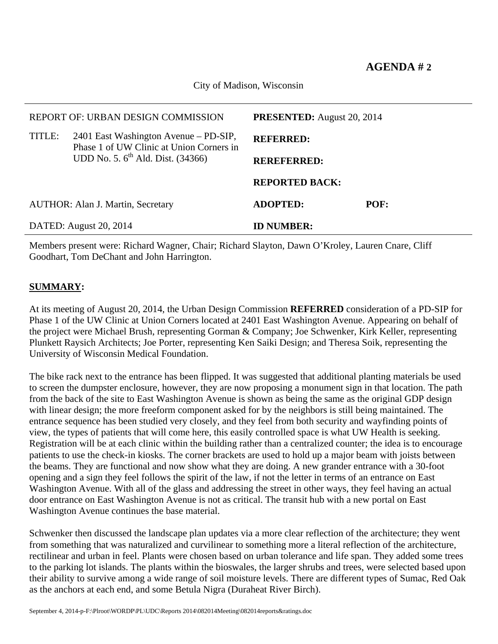City of Madison, Wisconsin

|                                          | REPORT OF: URBAN DESIGN COMMISSION                                                | <b>PRESENTED:</b> August 20, 2014 |      |  |
|------------------------------------------|-----------------------------------------------------------------------------------|-----------------------------------|------|--|
| TITLE:                                   | 2401 East Washington Avenue – PD-SIP,<br>Phase 1 of UW Clinic at Union Corners in | <b>REFERRED:</b>                  |      |  |
|                                          | UDD No. 5. 6 <sup>th</sup> Ald. Dist. (34366)                                     | <b>REREFERRED:</b>                |      |  |
|                                          |                                                                                   | <b>REPORTED BACK:</b>             |      |  |
| <b>AUTHOR: Alan J. Martin, Secretary</b> |                                                                                   | <b>ADOPTED:</b>                   | POF: |  |
| DATED: August 20, 2014                   |                                                                                   | <b>ID NUMBER:</b>                 |      |  |

Members present were: Richard Wagner, Chair; Richard Slayton, Dawn O'Kroley, Lauren Cnare, Cliff Goodhart, Tom DeChant and John Harrington.

## **SUMMARY:**

At its meeting of August 20, 2014, the Urban Design Commission **REFERRED** consideration of a PD-SIP for Phase 1 of the UW Clinic at Union Corners located at 2401 East Washington Avenue. Appearing on behalf of the project were Michael Brush, representing Gorman & Company; Joe Schwenker, Kirk Keller, representing Plunkett Raysich Architects; Joe Porter, representing Ken Saiki Design; and Theresa Soik, representing the University of Wisconsin Medical Foundation.

The bike rack next to the entrance has been flipped. It was suggested that additional planting materials be used to screen the dumpster enclosure, however, they are now proposing a monument sign in that location. The path from the back of the site to East Washington Avenue is shown as being the same as the original GDP design with linear design; the more freeform component asked for by the neighbors is still being maintained. The entrance sequence has been studied very closely, and they feel from both security and wayfinding points of view, the types of patients that will come here, this easily controlled space is what UW Health is seeking. Registration will be at each clinic within the building rather than a centralized counter; the idea is to encourage patients to use the check-in kiosks. The corner brackets are used to hold up a major beam with joists between the beams. They are functional and now show what they are doing. A new grander entrance with a 30-foot opening and a sign they feel follows the spirit of the law, if not the letter in terms of an entrance on East Washington Avenue. With all of the glass and addressing the street in other ways, they feel having an actual door entrance on East Washington Avenue is not as critical. The transit hub with a new portal on East Washington Avenue continues the base material.

Schwenker then discussed the landscape plan updates via a more clear reflection of the architecture; they went from something that was naturalized and curvilinear to something more a literal reflection of the architecture, rectilinear and urban in feel. Plants were chosen based on urban tolerance and life span. They added some trees to the parking lot islands. The plants within the bioswales, the larger shrubs and trees, were selected based upon their ability to survive among a wide range of soil moisture levels. There are different types of Sumac, Red Oak as the anchors at each end, and some Betula Nigra (Duraheat River Birch).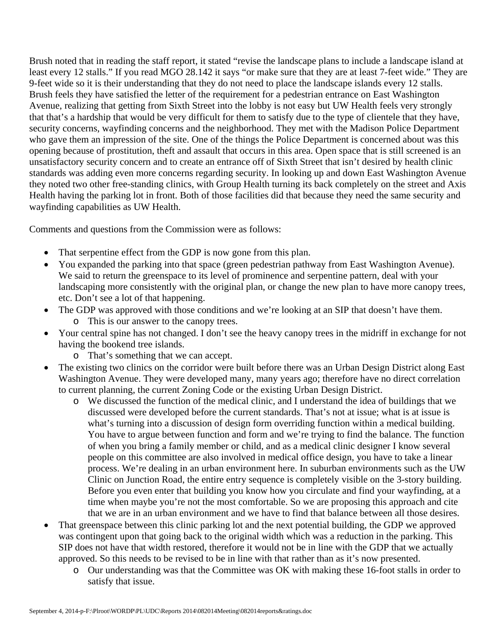Brush noted that in reading the staff report, it stated "revise the landscape plans to include a landscape island at least every 12 stalls." If you read MGO 28.142 it says "or make sure that they are at least 7-feet wide." They are 9-feet wide so it is their understanding that they do not need to place the landscape islands every 12 stalls. Brush feels they have satisfied the letter of the requirement for a pedestrian entrance on East Washington Avenue, realizing that getting from Sixth Street into the lobby is not easy but UW Health feels very strongly that that's a hardship that would be very difficult for them to satisfy due to the type of clientele that they have, security concerns, wayfinding concerns and the neighborhood. They met with the Madison Police Department who gave them an impression of the site. One of the things the Police Department is concerned about was this opening because of prostitution, theft and assault that occurs in this area. Open space that is still screened is an unsatisfactory security concern and to create an entrance off of Sixth Street that isn't desired by health clinic standards was adding even more concerns regarding security. In looking up and down East Washington Avenue they noted two other free-standing clinics, with Group Health turning its back completely on the street and Axis Health having the parking lot in front. Both of those facilities did that because they need the same security and wayfinding capabilities as UW Health.

Comments and questions from the Commission were as follows:

- That serpentine effect from the GDP is now gone from this plan.
- You expanded the parking into that space (green pedestrian pathway from East Washington Avenue). We said to return the greenspace to its level of prominence and serpentine pattern, deal with your landscaping more consistently with the original plan, or change the new plan to have more canopy trees, etc. Don't see a lot of that happening.
- The GDP was approved with those conditions and we're looking at an SIP that doesn't have them.
	- o This is our answer to the canopy trees.
- Your central spine has not changed. I don't see the heavy canopy trees in the midriff in exchange for not having the bookend tree islands.
	- o That's something that we can accept.
- The existing two clinics on the corridor were built before there was an Urban Design District along East Washington Avenue. They were developed many, many years ago; therefore have no direct correlation to current planning, the current Zoning Code or the existing Urban Design District.
	- o We discussed the function of the medical clinic, and I understand the idea of buildings that we discussed were developed before the current standards. That's not at issue; what is at issue is what's turning into a discussion of design form overriding function within a medical building. You have to argue between function and form and we're trying to find the balance. The function of when you bring a family member or child, and as a medical clinic designer I know several people on this committee are also involved in medical office design, you have to take a linear process. We're dealing in an urban environment here. In suburban environments such as the UW Clinic on Junction Road, the entire entry sequence is completely visible on the 3-story building. Before you even enter that building you know how you circulate and find your wayfinding, at a time when maybe you're not the most comfortable. So we are proposing this approach and cite that we are in an urban environment and we have to find that balance between all those desires.
- That greenspace between this clinic parking lot and the next potential building, the GDP we approved was contingent upon that going back to the original width which was a reduction in the parking. This SIP does not have that width restored, therefore it would not be in line with the GDP that we actually approved. So this needs to be revised to be in line with that rather than as it's now presented.
	- o Our understanding was that the Committee was OK with making these 16-foot stalls in order to satisfy that issue.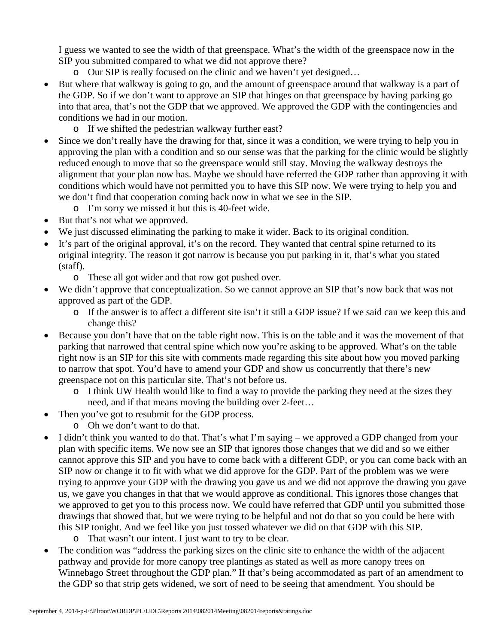I guess we wanted to see the width of that greenspace. What's the width of the greenspace now in the SIP you submitted compared to what we did not approve there?

- o Our SIP is really focused on the clinic and we haven't yet designed…
- But where that walkway is going to go, and the amount of greenspace around that walkway is a part of the GDP. So if we don't want to approve an SIP that hinges on that greenspace by having parking go into that area, that's not the GDP that we approved. We approved the GDP with the contingencies and conditions we had in our motion.
	- o If we shifted the pedestrian walkway further east?
- Since we don't really have the drawing for that, since it was a condition, we were trying to help you in approving the plan with a condition and so our sense was that the parking for the clinic would be slightly reduced enough to move that so the greenspace would still stay. Moving the walkway destroys the alignment that your plan now has. Maybe we should have referred the GDP rather than approving it with conditions which would have not permitted you to have this SIP now. We were trying to help you and we don't find that cooperation coming back now in what we see in the SIP.
	- o I'm sorry we missed it but this is 40-feet wide.
- But that's not what we approved.
- We just discussed eliminating the parking to make it wider. Back to its original condition.
- It's part of the original approval, it's on the record. They wanted that central spine returned to its original integrity. The reason it got narrow is because you put parking in it, that's what you stated (staff).
	- o These all got wider and that row got pushed over.
- We didn't approve that conceptualization. So we cannot approve an SIP that's now back that was not approved as part of the GDP.
	- o If the answer is to affect a different site isn't it still a GDP issue? If we said can we keep this and change this?
- Because you don't have that on the table right now. This is on the table and it was the movement of that parking that narrowed that central spine which now you're asking to be approved. What's on the table right now is an SIP for this site with comments made regarding this site about how you moved parking to narrow that spot. You'd have to amend your GDP and show us concurrently that there's new greenspace not on this particular site. That's not before us.
	- o I think UW Health would like to find a way to provide the parking they need at the sizes they need, and if that means moving the building over 2-feet…
- Then you've got to resubmit for the GDP process.
	- o Oh we don't want to do that.
- I didn't think you wanted to do that. That's what I'm saying we approved a GDP changed from your plan with specific items. We now see an SIP that ignores those changes that we did and so we either cannot approve this SIP and you have to come back with a different GDP, or you can come back with an SIP now or change it to fit with what we did approve for the GDP. Part of the problem was we were trying to approve your GDP with the drawing you gave us and we did not approve the drawing you gave us, we gave you changes in that that we would approve as conditional. This ignores those changes that we approved to get you to this process now. We could have referred that GDP until you submitted those drawings that showed that, but we were trying to be helpful and not do that so you could be here with this SIP tonight. And we feel like you just tossed whatever we did on that GDP with this SIP.
	- o That wasn't our intent. I just want to try to be clear.
- The condition was "address the parking sizes on the clinic site to enhance the width of the adjacent pathway and provide for more canopy tree plantings as stated as well as more canopy trees on Winnebago Street throughout the GDP plan." If that's being accommodated as part of an amendment to the GDP so that strip gets widened, we sort of need to be seeing that amendment. You should be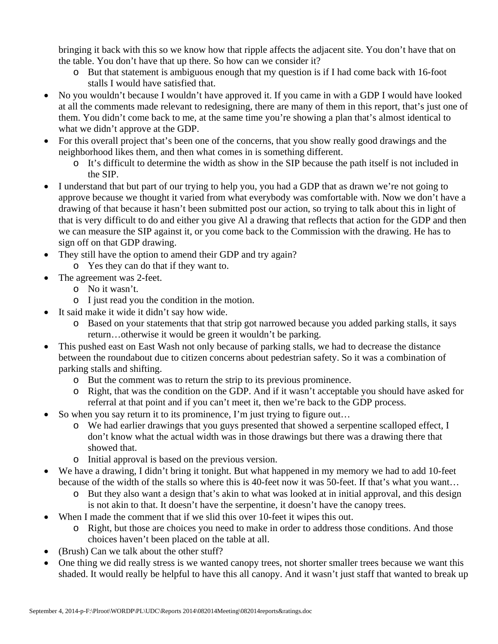bringing it back with this so we know how that ripple affects the adjacent site. You don't have that on the table. You don't have that up there. So how can we consider it?

- o But that statement is ambiguous enough that my question is if I had come back with 16-foot stalls I would have satisfied that.
- No you wouldn't because I wouldn't have approved it. If you came in with a GDP I would have looked at all the comments made relevant to redesigning, there are many of them in this report, that's just one of them. You didn't come back to me, at the same time you're showing a plan that's almost identical to what we didn't approve at the GDP.
- For this overall project that's been one of the concerns, that you show really good drawings and the neighborhood likes them, and then what comes in is something different.
	- o It's difficult to determine the width as show in the SIP because the path itself is not included in the SIP.
- I understand that but part of our trying to help you, you had a GDP that as drawn we're not going to approve because we thought it varied from what everybody was comfortable with. Now we don't have a drawing of that because it hasn't been submitted post our action, so trying to talk about this in light of that is very difficult to do and either you give Al a drawing that reflects that action for the GDP and then we can measure the SIP against it, or you come back to the Commission with the drawing. He has to sign off on that GDP drawing.
- They still have the option to amend their GDP and try again?
- o Yes they can do that if they want to.
- The agreement was 2-feet.
	- o No it wasn't.
	- o I just read you the condition in the motion.
- It said make it wide it didn't say how wide.
	- o Based on your statements that that strip got narrowed because you added parking stalls, it says return…otherwise it would be green it wouldn't be parking.
- This pushed east on East Wash not only because of parking stalls, we had to decrease the distance between the roundabout due to citizen concerns about pedestrian safety. So it was a combination of parking stalls and shifting.
	- o But the comment was to return the strip to its previous prominence.
	- o Right, that was the condition on the GDP. And if it wasn't acceptable you should have asked for referral at that point and if you can't meet it, then we're back to the GDP process.
- So when you say return it to its prominence, I'm just trying to figure out...
	- o We had earlier drawings that you guys presented that showed a serpentine scalloped effect, I don't know what the actual width was in those drawings but there was a drawing there that showed that.
	- o Initial approval is based on the previous version.
- We have a drawing, I didn't bring it tonight. But what happened in my memory we had to add 10-feet because of the width of the stalls so where this is 40-feet now it was 50-feet. If that's what you want…
	- o But they also want a design that's akin to what was looked at in initial approval, and this design is not akin to that. It doesn't have the serpentine, it doesn't have the canopy trees.
- When I made the comment that if we slid this over 10-feet it wipes this out.
	- o Right, but those are choices you need to make in order to address those conditions. And those choices haven't been placed on the table at all.
- (Brush) Can we talk about the other stuff?
- One thing we did really stress is we wanted canopy trees, not shorter smaller trees because we want this shaded. It would really be helpful to have this all canopy. And it wasn't just staff that wanted to break up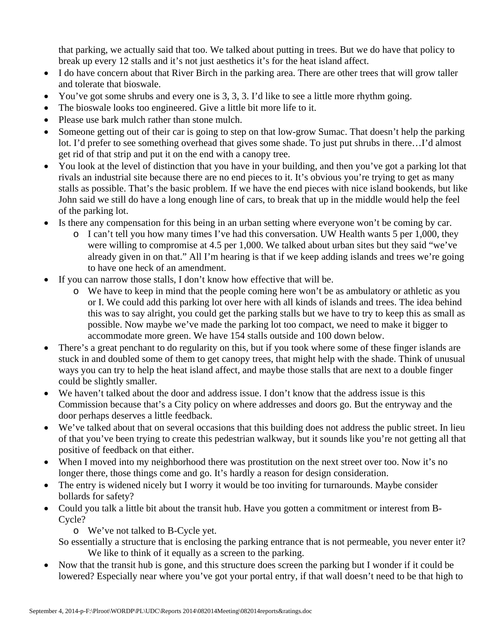that parking, we actually said that too. We talked about putting in trees. But we do have that policy to break up every 12 stalls and it's not just aesthetics it's for the heat island affect.

- I do have concern about that River Birch in the parking area. There are other trees that will grow taller and tolerate that bioswale.
- You've got some shrubs and every one is 3, 3, 3. I'd like to see a little more rhythm going.
- The bioswale looks too engineered. Give a little bit more life to it.
- Please use bark mulch rather than stone mulch.
- Someone getting out of their car is going to step on that low-grow Sumac. That doesn't help the parking lot. I'd prefer to see something overhead that gives some shade. To just put shrubs in there…I'd almost get rid of that strip and put it on the end with a canopy tree.
- You look at the level of distinction that you have in your building, and then you've got a parking lot that rivals an industrial site because there are no end pieces to it. It's obvious you're trying to get as many stalls as possible. That's the basic problem. If we have the end pieces with nice island bookends, but like John said we still do have a long enough line of cars, to break that up in the middle would help the feel of the parking lot.
- Is there any compensation for this being in an urban setting where everyone won't be coming by car.
	- $\circ$  I can't tell you how many times I've had this conversation. UW Health wants 5 per 1,000, they were willing to compromise at 4.5 per 1,000. We talked about urban sites but they said "we've already given in on that." All I'm hearing is that if we keep adding islands and trees we're going to have one heck of an amendment.
- If you can narrow those stalls, I don't know how effective that will be.
	- o We have to keep in mind that the people coming here won't be as ambulatory or athletic as you or I. We could add this parking lot over here with all kinds of islands and trees. The idea behind this was to say alright, you could get the parking stalls but we have to try to keep this as small as possible. Now maybe we've made the parking lot too compact, we need to make it bigger to accommodate more green. We have 154 stalls outside and 100 down below.
- There's a great penchant to do regularity on this, but if you took where some of these finger islands are stuck in and doubled some of them to get canopy trees, that might help with the shade. Think of unusual ways you can try to help the heat island affect, and maybe those stalls that are next to a double finger could be slightly smaller.
- We haven't talked about the door and address issue. I don't know that the address issue is this Commission because that's a City policy on where addresses and doors go. But the entryway and the door perhaps deserves a little feedback.
- We've talked about that on several occasions that this building does not address the public street. In lieu of that you've been trying to create this pedestrian walkway, but it sounds like you're not getting all that positive of feedback on that either.
- When I moved into my neighborhood there was prostitution on the next street over too. Now it's no longer there, those things come and go. It's hardly a reason for design consideration.
- The entry is widened nicely but I worry it would be too inviting for turnarounds. Maybe consider bollards for safety?
- Could you talk a little bit about the transit hub. Have you gotten a commitment or interest from B-Cycle?

o We've not talked to B-Cycle yet.

So essentially a structure that is enclosing the parking entrance that is not permeable, you never enter it? We like to think of it equally as a screen to the parking.

• Now that the transit hub is gone, and this structure does screen the parking but I wonder if it could be lowered? Especially near where you've got your portal entry, if that wall doesn't need to be that high to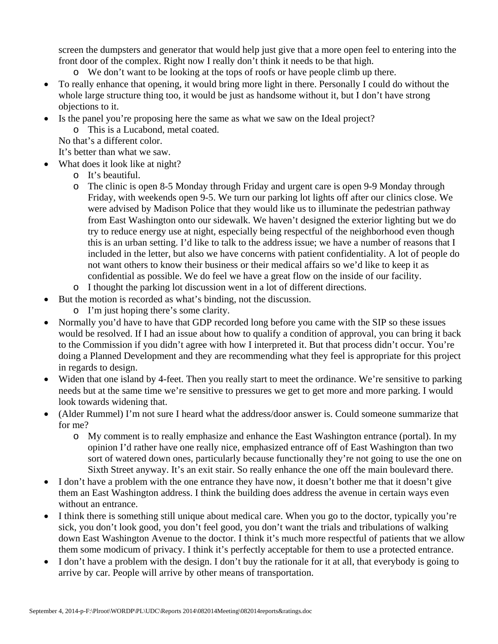screen the dumpsters and generator that would help just give that a more open feel to entering into the front door of the complex. Right now I really don't think it needs to be that high.

- o We don't want to be looking at the tops of roofs or have people climb up there.
- To really enhance that opening, it would bring more light in there. Personally I could do without the whole large structure thing too, it would be just as handsome without it, but I don't have strong objections to it.
- Is the panel you're proposing here the same as what we saw on the Ideal project?
	- o This is a Lucabond, metal coated.
	- No that's a different color.

It's better than what we saw.

- What does it look like at night?
	- o It's beautiful.
	- o The clinic is open 8-5 Monday through Friday and urgent care is open 9-9 Monday through Friday, with weekends open 9-5. We turn our parking lot lights off after our clinics close. We were advised by Madison Police that they would like us to illuminate the pedestrian pathway from East Washington onto our sidewalk. We haven't designed the exterior lighting but we do try to reduce energy use at night, especially being respectful of the neighborhood even though this is an urban setting. I'd like to talk to the address issue; we have a number of reasons that I included in the letter, but also we have concerns with patient confidentiality. A lot of people do not want others to know their business or their medical affairs so we'd like to keep it as confidential as possible. We do feel we have a great flow on the inside of our facility.
	- o I thought the parking lot discussion went in a lot of different directions.
- But the motion is recorded as what's binding, not the discussion.
	- o I'm just hoping there's some clarity.
- Normally you'd have to have that GDP recorded long before you came with the SIP so these issues would be resolved. If I had an issue about how to qualify a condition of approval, you can bring it back to the Commission if you didn't agree with how I interpreted it. But that process didn't occur. You're doing a Planned Development and they are recommending what they feel is appropriate for this project in regards to design.
- Widen that one island by 4-feet. Then you really start to meet the ordinance. We're sensitive to parking needs but at the same time we're sensitive to pressures we get to get more and more parking. I would look towards widening that.
- (Alder Rummel) I'm not sure I heard what the address/door answer is. Could someone summarize that for me?
	- o My comment is to really emphasize and enhance the East Washington entrance (portal). In my opinion I'd rather have one really nice, emphasized entrance off of East Washington than two sort of watered down ones, particularly because functionally they're not going to use the one on Sixth Street anyway. It's an exit stair. So really enhance the one off the main boulevard there.
- I don't have a problem with the one entrance they have now, it doesn't bother me that it doesn't give them an East Washington address. I think the building does address the avenue in certain ways even without an entrance.
- I think there is something still unique about medical care. When you go to the doctor, typically you're sick, you don't look good, you don't feel good, you don't want the trials and tribulations of walking down East Washington Avenue to the doctor. I think it's much more respectful of patients that we allow them some modicum of privacy. I think it's perfectly acceptable for them to use a protected entrance.
- I don't have a problem with the design. I don't buy the rationale for it at all, that everybody is going to arrive by car. People will arrive by other means of transportation.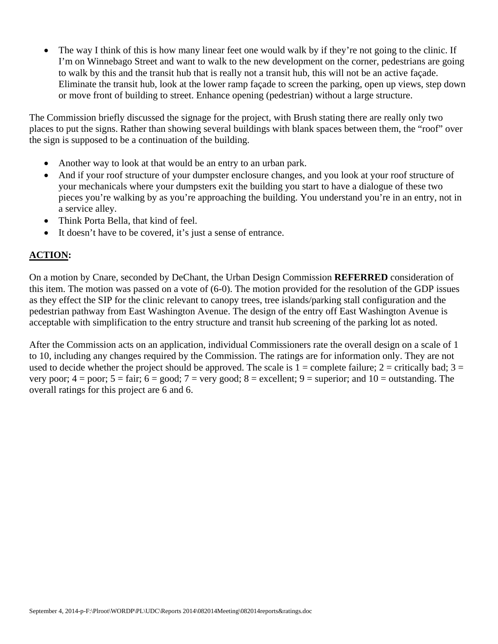The way I think of this is how many linear feet one would walk by if they're not going to the clinic. If I'm on Winnebago Street and want to walk to the new development on the corner, pedestrians are going to walk by this and the transit hub that is really not a transit hub, this will not be an active façade. Eliminate the transit hub, look at the lower ramp façade to screen the parking, open up views, step down or move front of building to street. Enhance opening (pedestrian) without a large structure.

The Commission briefly discussed the signage for the project, with Brush stating there are really only two places to put the signs. Rather than showing several buildings with blank spaces between them, the "roof" over the sign is supposed to be a continuation of the building.

- Another way to look at that would be an entry to an urban park.
- And if your roof structure of your dumpster enclosure changes, and you look at your roof structure of your mechanicals where your dumpsters exit the building you start to have a dialogue of these two pieces you're walking by as you're approaching the building. You understand you're in an entry, not in a service alley.
- Think Porta Bella, that kind of feel.
- It doesn't have to be covered, it's just a sense of entrance.

## **ACTION:**

On a motion by Cnare, seconded by DeChant, the Urban Design Commission **REFERRED** consideration of this item. The motion was passed on a vote of (6-0). The motion provided for the resolution of the GDP issues as they effect the SIP for the clinic relevant to canopy trees, tree islands/parking stall configuration and the pedestrian pathway from East Washington Avenue. The design of the entry off East Washington Avenue is acceptable with simplification to the entry structure and transit hub screening of the parking lot as noted.

After the Commission acts on an application, individual Commissioners rate the overall design on a scale of 1 to 10, including any changes required by the Commission. The ratings are for information only. They are not used to decide whether the project should be approved. The scale is  $1 =$  complete failure;  $2 =$  critically bad;  $3 =$ very poor;  $4 =$  poor;  $5 =$  fair;  $6 =$  good;  $7 =$  very good;  $8 =$  excellent;  $9 =$  superior; and  $10 =$  outstanding. The overall ratings for this project are 6 and 6.